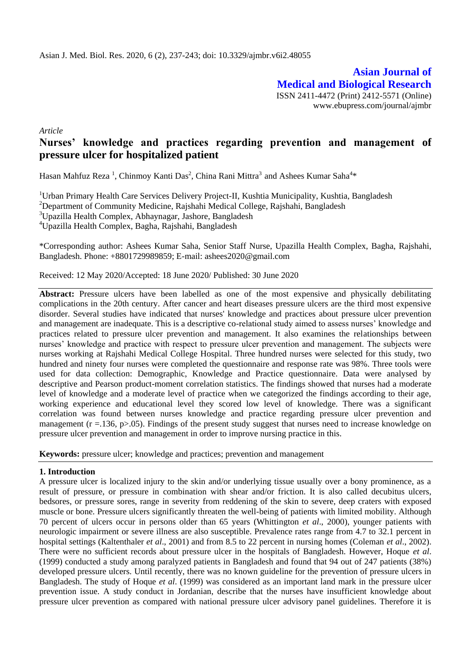**Asian Journal of Medical and Biological Research** ISSN 2411-4472 (Print) 2412-5571 (Online) www.ebupress.com/journal/ajmbr

*Article*

# **Nurses' knowledge and practices regarding prevention and management of pressure ulcer for hospitalized patient**

Hasan Mahfuz Reza<sup>1</sup>, Chinmoy Kanti Das<sup>2</sup>, China Rani Mittra<sup>3</sup> and Ashees Kumar Saha<sup>4\*</sup>

<sup>1</sup>Urban Primary Health Care Services Delivery Project-II, Kushtia Municipality, Kushtia, Bangladesh <sup>2</sup>Department of Community Medicine, Rajshahi Medical College, Rajshahi, Bangladesh <sup>3</sup>Upazilla Health Complex, Abhaynagar, Jashore, Bangladesh

<sup>4</sup>Upazilla Health Complex, Bagha, Rajshahi, Bangladesh

\*Corresponding author: Ashees Kumar Saha, Senior Staff Nurse, Upazilla Health Complex, Bagha, Rajshahi, Bangladesh. Phone: +8801729989859; E-mail: [ashees2020@gmail.com](mailto:ashees2020@gmail.com)

Received: 12 May 2020/Accepted: 18 June 2020/ Published: 30 June 2020

Abstract: Pressure ulcers have been labelled as one of the most expensive and physically debilitating complications in the 20th century. After cancer and heart diseases pressure ulcers are the third most expensive disorder. Several studies have indicated that nurses' knowledge and practices about pressure ulcer prevention and management are inadequate. This is a descriptive co-relational study aimed to assess nurses" knowledge and practices related to pressure ulcer prevention and management. It also examines the relationships between nurses" knowledge and practice with respect to pressure ulcer prevention and management. The subjects were nurses working at Rajshahi Medical College Hospital. Three hundred nurses were selected for this study, two hundred and ninety four nurses were completed the questionnaire and response rate was 98%. Three tools were used for data collection: Demographic, Knowledge and Practice questionnaire. Data were analysed by descriptive and Pearson product-moment correlation statistics. The findings showed that nurses had a moderate level of knowledge and a moderate level of practice when we categorized the findings according to their age, working experience and educational level they scored low level of knowledge. There was a significant correlation was found between nurses knowledge and practice regarding pressure ulcer prevention and management ( $r = 136$ ,  $p > 0.05$ ). Findings of the present study suggest that nurses need to increase knowledge on pressure ulcer prevention and management in order to improve nursing practice in this.

**Keywords:** pressure ulcer; knowledge and practices; prevention and management

## **1. Introduction**

A pressure ulcer is localized injury to the skin and/or underlying tissue usually over a bony prominence, as a result of pressure, or pressure in combination with shear and/or friction. It is also called decubitus ulcers, bedsores, or pressure sores, range in severity from reddening of the skin to severe, deep craters with exposed muscle or bone. Pressure ulcers significantly threaten the well-being of patients with limited mobility. Although 70 percent of ulcers occur in persons older than 65 years (Whittington *et al*., 2000), younger patients with neurologic impairment or severe illness are also susceptible. Prevalence rates range from 4.7 to 32.1 percent in hospital settings (Kaltenthaler *et al*., 2001) and from 8.5 to 22 percent in nursing homes (Coleman *et al*., 2002). There were no sufficient records about pressure ulcer in the hospitals of Bangladesh. However, Hoque *et al*. (1999) conducted a study among paralyzed patients in Bangladesh and found that 94 out of 247 patients (38%) developed pressure ulcers. Until recently, there was no known guideline for the prevention of pressure ulcers in Bangladesh. The study of Hoque *et al*. (1999) was considered as an important land mark in the pressure ulcer prevention issue. A study conduct in Jordanian, describe that the nurses have insufficient knowledge about pressure ulcer prevention as compared with national pressure ulcer advisory panel guidelines. Therefore it is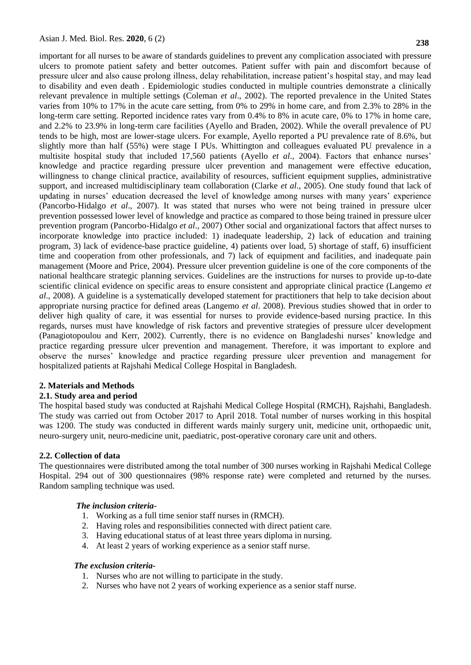important for all nurses to be aware of standards guidelines to prevent any complication associated with pressure ulcers to promote patient safety and better outcomes. Patient suffer with pain and discomfort because of pressure ulcer and also cause prolong illness, delay rehabilitation, increase patient"s hospital stay, and may lead to disability and even death . Epidemiologic studies conducted in multiple countries demonstrate a clinically relevant prevalence in multiple settings (Coleman *et al*., 2002). The reported prevalence in the United States varies from 10% to 17% in the acute care setting, from 0% to 29% in home care, and from 2.3% to 28% in the long-term care setting. Reported incidence rates vary from 0.4% to 8% in acute care, 0% to 17% in home care, and 2.2% to 23.9% in long-term care facilities (Ayello and Braden, 2002). While the overall prevalence of PU tends to be high, most are lower-stage ulcers. For example, Ayello reported a PU prevalence rate of 8.6%, but slightly more than half (55%) were stage I PUs. Whittington and colleagues evaluated PU prevalence in a multisite hospital study that included 17,560 patients (Ayello *et al*., 2004). Factors that enhance nurses" knowledge and practice regarding pressure ulcer prevention and management were effective education, willingness to change clinical practice, availability of resources, sufficient equipment supplies, administrative support, and increased multidisciplinary team collaboration (Clarke *et al*., 2005). One study found that lack of updating in nurses" education decreased the level of knowledge among nurses with many years" experience (Pancorbo-Hidalgo *et al*., 2007). It was stated that nurses who were not being trained in pressure ulcer prevention possessed lower level of knowledge and practice as compared to those being trained in pressure ulcer prevention program (Pancorbo-Hidalgo *et al*., 2007) Other social and organizational factors that affect nurses to incorporate knowledge into practice included: 1) inadequate leadership, 2) lack of education and training program, 3) lack of evidence-base practice guideline, 4) patients over load, 5) shortage of staff, 6) insufficient time and cooperation from other professionals, and 7) lack of equipment and facilities, and inadequate pain management (Moore and Price, 2004). Pressure ulcer prevention guideline is one of the core components of the national healthcare strategic planning services. Guidelines are the instructions for nurses to provide up-to-date scientific clinical evidence on specific areas to ensure consistent and appropriate clinical practice (Langemo *et al*., 2008). A guideline is a systematically developed statement for practitioners that help to take decision about appropriate nursing practice for defined areas (Langemo *et al*. 2008). Previous studies showed that in order to deliver high quality of care, it was essential for nurses to provide evidence-based nursing practice. In this regards, nurses must have knowledge of risk factors and preventive strategies of pressure ulcer development (Panagiotopoulou and Kerr, 2002). Currently, there is no evidence on Bangladeshi nurses" knowledge and practice regarding pressure ulcer prevention and management. Therefore, it was important to explore and observe the nurses" knowledge and practice regarding pressure ulcer prevention and management for hospitalized patients at Rajshahi Medical College Hospital in Bangladesh.

#### **2. Materials and Methods**

## **2.1. Study area and period**

The hospital based study was conducted at Rajshahi Medical College Hospital (RMCH), Rajshahi, Bangladesh. The study was carried out from October 2017 to April 2018. Total number of nurses working in this hospital was 1200. The study was conducted in different wards mainly surgery unit, medicine unit, orthopaedic unit, neuro-surgery unit, neuro-medicine unit, paediatric, post-operative coronary care unit and others.

## **2.2. Collection of data**

The questionnaires were distributed among the total number of 300 nurses working in Rajshahi Medical College Hospital. 294 out of 300 questionnaires (98% response rate) were completed and returned by the nurses. Random sampling technique was used.

#### *The inclusion criteria-*

- 1. Working as a full time senior staff nurses in (RMCH).
- 2. Having roles and responsibilities connected with direct patient care.
- 3. Having educational status of at least three years diploma in nursing.
- 4. At least 2 years of working experience as a senior staff nurse.

#### *The exclusion criteria-*

- 1. Nurses who are not willing to participate in the study.
- 2. Nurses who have not 2 years of working experience as a senior staff nurse.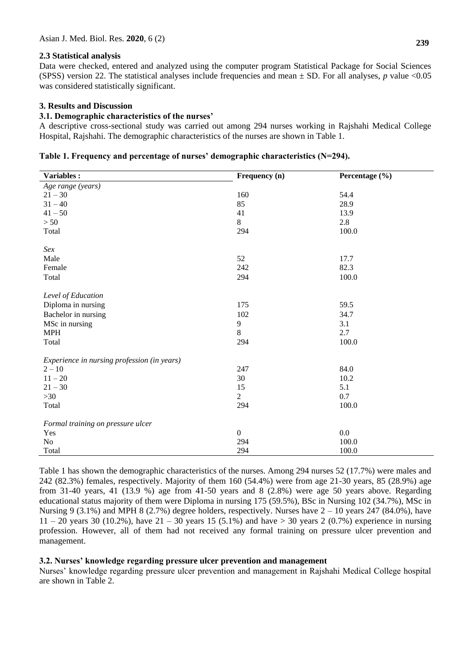## **2.3 Statistical analysis**

Data were checked, entered and analyzed using the computer program Statistical Package for Social Sciences (SPSS) version 22. The statistical analyses include frequencies and mean ± SD. For all analyses, *p* value <0.05 was considered statistically significant.

## **3. Results and Discussion**

## **3.1. Demographic characteristics of the nurses'**

A descriptive cross-sectional study was carried out among 294 nurses working in Rajshahi Medical College Hospital, Rajshahi. The demographic characteristics of the nurses are shown in Table 1.

|  |  |  | Table 1. Frequency and percentage of nurses' demographic characteristics (N=294). |  |
|--|--|--|-----------------------------------------------------------------------------------|--|
|--|--|--|-----------------------------------------------------------------------------------|--|

| Variables:                                  | Frequency (n)  | Percentage (%) |
|---------------------------------------------|----------------|----------------|
| Age range (years)                           |                |                |
| $21 - 30$                                   | 160            | 54.4           |
| $31 - 40$                                   | 85             | 28.9           |
| $41 - 50$                                   | 41             | 13.9           |
| $>50$                                       | 8              | 2.8            |
| Total                                       | 294            | 100.0          |
| Sex                                         |                |                |
| Male                                        | 52             | 17.7           |
| Female                                      | 242            | 82.3           |
| Total                                       | 294            | 100.0          |
| Level of Education                          |                |                |
| Diploma in nursing                          | 175            | 59.5           |
| Bachelor in nursing                         | $102\,$        | 34.7           |
| MSc in nursing                              | 9              | 3.1            |
| <b>MPH</b>                                  | 8              | 2.7            |
| Total                                       | 294            | 100.0          |
| Experience in nursing profession (in years) |                |                |
| $2 - 10$                                    | 247            | 84.0           |
| $11 - 20$                                   | 30             | 10.2           |
| $21 - 30$                                   | 15             | 5.1            |
| $>30$                                       | $\overline{2}$ | 0.7            |
| Total                                       | 294            | 100.0          |
| Formal training on pressure ulcer           |                |                |
| Yes                                         | $\overline{0}$ | 0.0            |
| No                                          | 294            | 100.0          |
| Total                                       | 294            | 100.0          |

Table 1 has shown the demographic characteristics of the nurses. Among 294 nurses 52 (17.7%) were males and 242 (82.3%) females, respectively. Majority of them 160 (54.4%) were from age 21-30 years, 85 (28.9%) age from 31-40 years, 41 (13.9 %) age from 41-50 years and 8 (2.8%) were age 50 years above. Regarding educational status majority of them were Diploma in nursing 175 (59.5%), BSc in Nursing 102 (34.7%), MSc in Nursing 9 (3.1%) and MPH 8 (2.7%) degree holders, respectively. Nurses have  $2 - 10$  years 247 (84.0%), have  $11 - 20$  years 30 (10.2%), have  $21 - 30$  years 15 (5.1%) and have  $> 30$  years 2 (0.7%) experience in nursing profession. However, all of them had not received any formal training on pressure ulcer prevention and management.

## **3.2. Nurses' knowledge regarding pressure ulcer prevention and management**

Nurses" knowledge regarding pressure ulcer prevention and management in Rajshahi Medical College hospital are shown in Table 2.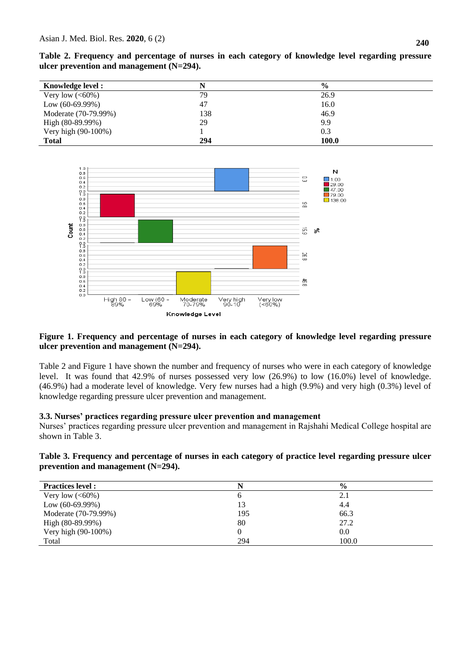**Table 2. Frequency and percentage of nurses in each category of knowledge level regarding pressure ulcer prevention and management (N=294).**

| Knowledge level:     |     | $\frac{0}{0}$ |  |
|----------------------|-----|---------------|--|
| Very low $(<60\%)$   | 79  | 26.9          |  |
| Low $(60-69.99%)$    | 47  | 16.0          |  |
| Moderate (70-79.99%) | 138 | 46.9          |  |
| High (80-89.99%)     | 29  | 9.9           |  |
| Very high (90-100%)  |     | 0.3           |  |
| <b>Total</b>         | 294 | 100.0         |  |



# **Figure 1. Frequency and percentage of nurses in each category of knowledge level regarding pressure ulcer prevention and management (N=294).**

Table 2 and Figure 1 have shown the number and frequency of nurses who were in each category of knowledge level. It was found that 42.9% of nurses possessed very low (26.9%) to low (16.0%) level of knowledge. (46.9%) had a moderate level of knowledge. Very few nurses had a high (9.9%) and very high (0.3%) level of knowledge regarding pressure ulcer prevention and management.

# **3.3. Nurses' practices regarding pressure ulcer prevention and management**

Nurses" practices regarding pressure ulcer prevention and management in Rajshahi Medical College hospital are shown in Table 3.

**Table 3. Frequency and percentage of nurses in each category of practice level regarding pressure ulcer prevention and management (N=294).**

| <b>Practices level :</b> | N        | $\frac{0}{0}$ |  |
|--------------------------|----------|---------------|--|
| Very low $(<60\%)$       | O        | 2.1           |  |
| Low $(60-69.99%)$        | 13       | 4.4           |  |
| Moderate (70-79.99%)     | 195      | 66.3          |  |
| High (80-89.99%)         | 80       | 27.2          |  |
| Very high (90-100%)      | $\Omega$ | 0.0           |  |
| Total                    | 294      | 100.0         |  |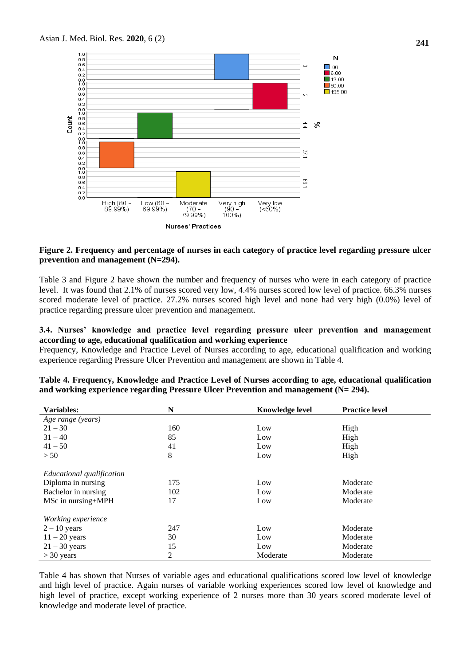

#### **Figure 2. Frequency and percentage of nurses in each category of practice level regarding pressure ulcer prevention and management (N=294).**

Table 3 and Figure 2 have shown the number and frequency of nurses who were in each category of practice level. It was found that 2.1% of nurses scored very low, 4.4% nurses scored low level of practice. 66.3% nurses scored moderate level of practice. 27.2% nurses scored high level and none had very high (0.0%) level of practice regarding pressure ulcer prevention and management.

#### **3.4. Nurses' knowledge and practice level regarding pressure ulcer prevention and management according to age, educational qualification and working experience**

Frequency, Knowledge and Practice Level of Nurses according to age, educational qualification and working experience regarding Pressure Ulcer Prevention and management are shown in Table 4.

| Variables:                | N   | <b>Knowledge level</b> | <b>Practice level</b> |
|---------------------------|-----|------------------------|-----------------------|
| Age range (years)         |     |                        |                       |
| $21 - 30$                 | 160 | Low                    | High                  |
| $31 - 40$                 | 85  | Low                    | High                  |
| $41 - 50$                 | 41  | Low                    | High                  |
| > 50                      | 8   | Low                    | High                  |
| Educational qualification |     |                        |                       |
| Diploma in nursing        | 175 | Low                    | Moderate              |
| Bachelor in nursing       | 102 | Low                    | Moderate              |
| MSc in nursing+MPH        | 17  | Low                    | Moderate              |
| Working experience        |     |                        |                       |
| $2 - 10$ years            | 247 | Low                    | Moderate              |
| $11 - 20$ years           | 30  | Low                    | Moderate              |
| $21 - 30$ years           | 15  | Low                    | Moderate              |
| $>$ 30 years              | 2   | Moderate               | Moderate              |

**Table 4. Frequency, Knowledge and Practice Level of Nurses according to age, educational qualification and working experience regarding Pressure Ulcer Prevention and management (N= 294).**

Table 4 has shown that Nurses of variable ages and educational qualifications scored low level of knowledge and high level of practice. Again nurses of variable working experiences scored low level of knowledge and high level of practice, except working experience of 2 nurses more than 30 years scored moderate level of knowledge and moderate level of practice.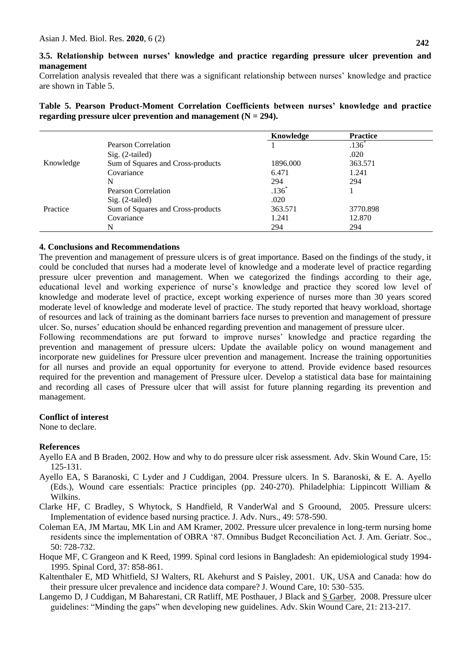## **3.5. Relationship between nurses' knowledge and practice regarding pressure ulcer prevention and management**

Correlation analysis revealed that there was a significant relationship between nurses" knowledge and practice are shown in Table 5.

**Table 5. Pearson Product-Moment Correlation Coefficients between nurses' knowledge and practice regarding pressure ulcer prevention and management (N = 294).** 

|           |                                   | Knowledge           | <b>Practice</b>     |  |
|-----------|-----------------------------------|---------------------|---------------------|--|
|           | Pearson Correlation               |                     | $.136$ <sup>*</sup> |  |
|           | Sig. (2-tailed)                   |                     | .020                |  |
| Knowledge | Sum of Squares and Cross-products | 1896.000            | 363.571             |  |
|           | Covariance                        | 6.471               | 1.241               |  |
|           | N                                 | 294                 | 294                 |  |
| Practice  | Pearson Correlation               | $.136$ <sup>*</sup> |                     |  |
|           | $Sig. (2-tailed)$                 | .020                |                     |  |
|           | Sum of Squares and Cross-products | 363.571             | 3770.898            |  |
|           | Covariance                        | 1.241               | 12.870              |  |
|           | N                                 | 294                 | 294                 |  |

#### **4. Conclusions and Recommendations**

The prevention and management of pressure ulcers is of great importance. Based on the findings of the study, it could be concluded that nurses had a moderate level of knowledge and a moderate level of practice regarding pressure ulcer prevention and management. When we categorized the findings according to their age, educational level and working experience of nurse"s knowledge and practice they scored low level of knowledge and moderate level of practice, except working experience of nurses more than 30 years scored moderate level of knowledge and moderate level of practice. The study reported that heavy workload, shortage of resources and lack of training as the dominant barriers face nurses to prevention and management of pressure ulcer. So, nurses' education should be enhanced regarding prevention and management of pressure ulcer.

Following recommendations are put forward to improve nurses' knowledge and practice regarding the prevention and management of pressure ulcers: Update the available policy on wound management and incorporate new guidelines for Pressure ulcer prevention and management. Increase the training opportunities for all nurses and provide an equal opportunity for everyone to attend. Provide evidence based resources required for the prevention and management of Pressure ulcer. Develop a statistical data base for maintaining and recording all cases of Pressure ulcer that will assist for future planning regarding its prevention and management.

#### **Conflict of interest**

None to declare.

## **References**

- Ayello EA and B Braden, 2002. How and why to do pressure ulcer risk assessment. Adv. Skin Wound Care, 15: 125-131.
- Ayello EA, S Baranoski, C Lyder and J Cuddigan, 2004. Pressure ulcers. In S. Baranoski, & E. A. Ayello (Eds.), Wound care essentials: Practice principles (pp. 240-270). Philadelphia: Lippincott William & Wilkins.

Clarke HF, C Bradley, S Whytock, S Handfield, R VanderWal and S Groound, 2005. Pressure ulcers: Implementation of evidence based nursing practice. J. Adv. Nurs., 49: 578-590.

- Coleman EA, JM Martau, MK Lin and AM Kramer, 2002. Pressure ulcer prevalence in long-term nursing home residents since the implementation of OBRA "87. Omnibus Budget Reconciliation Act. J. Am. Geriatr. Soc., 50: 728-732.
- Hoque MF, C Grangeon and K Reed, 1999. Spinal cord lesions in Bangladesh: An epidemiological study 1994- 1995. Spinal Cord, 37: 858-861.
- Kaltenthaler E, MD Whitfield, SJ Walters, RL Akehurst and S Paisley, 2001. UK, USA and Canada: how do their pressure ulcer prevalence and incidence data compare? J. Wound Care, 10: 530–535.
- Langemo D, J Cuddigan, M Baharestani, CR Ratliff, ME Posthauer, J Black and [S Garber,](https://pubmed.ncbi.nlm.nih.gov/?term=Garber+S&cauthor_id=18453847) 2008. Pressure ulcer guidelines: "Minding the gaps" when developing new guidelines. Adv. Skin Wound Care, 21: 213-217.